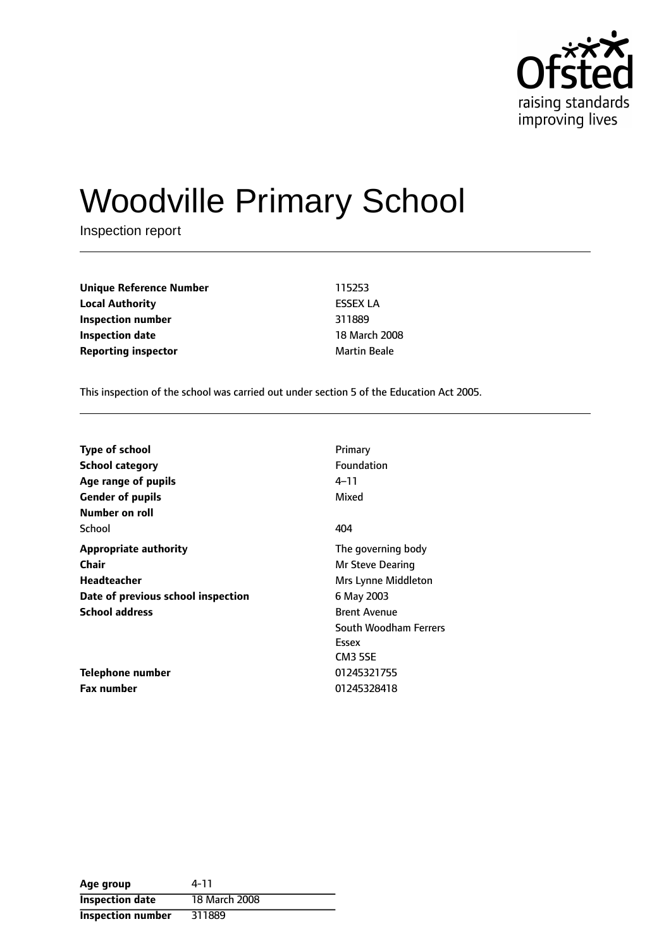

# Woodville Primary School

Inspection report

| <b>Unique Reference Number</b> | 115253              |
|--------------------------------|---------------------|
| <b>Local Authority</b>         | <b>ESSEX LA</b>     |
| Inspection number              | 311889              |
| Inspection date                | 18 March 200        |
| <b>Reporting inspector</b>     | <b>Martin Beale</b> |

**Unique Reference Number** 115253 **Local Authority** ESSEX LA **Inspection number** 311889 **18 March 2008** 

This inspection of the school was carried out under section 5 of the Education Act 2005.

| <b>Type of school</b>              | Primary               |
|------------------------------------|-----------------------|
| School category                    | <b>Foundation</b>     |
| Age range of pupils                | 4–11                  |
| <b>Gender of pupils</b>            | Mixed                 |
| Number on roll                     |                       |
| School                             | 404                   |
| <b>Appropriate authority</b>       | The governing body    |
| <b>Chair</b>                       | Mr Steve Dearing      |
| <b>Headteacher</b>                 | Mrs Lynne Middleton   |
| Date of previous school inspection | 6 May 2003            |
| <b>School address</b>              | <b>Brent Avenue</b>   |
|                                    | South Woodham Ferrers |
|                                    | Essex                 |
|                                    | <b>CM3 5SE</b>        |
| Telephone number                   | 01245321755           |
| <b>Fax number</b>                  | 01245328418           |

| Age group                | 4-11          |
|--------------------------|---------------|
| <b>Inspection date</b>   | 18 March 2008 |
| <b>Inspection number</b> | 311889        |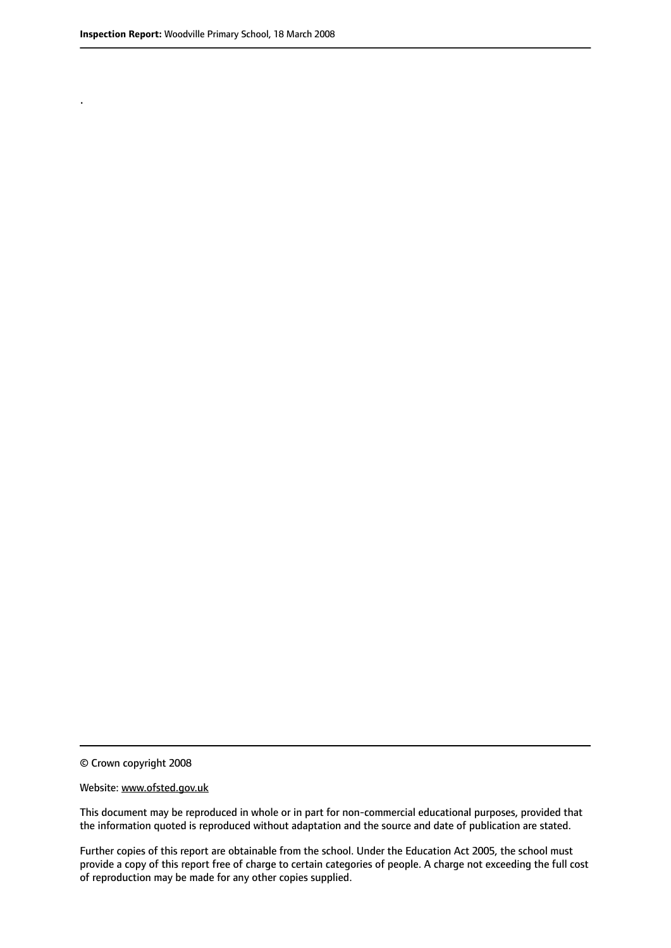.

© Crown copyright 2008

#### Website: www.ofsted.gov.uk

This document may be reproduced in whole or in part for non-commercial educational purposes, provided that the information quoted is reproduced without adaptation and the source and date of publication are stated.

Further copies of this report are obtainable from the school. Under the Education Act 2005, the school must provide a copy of this report free of charge to certain categories of people. A charge not exceeding the full cost of reproduction may be made for any other copies supplied.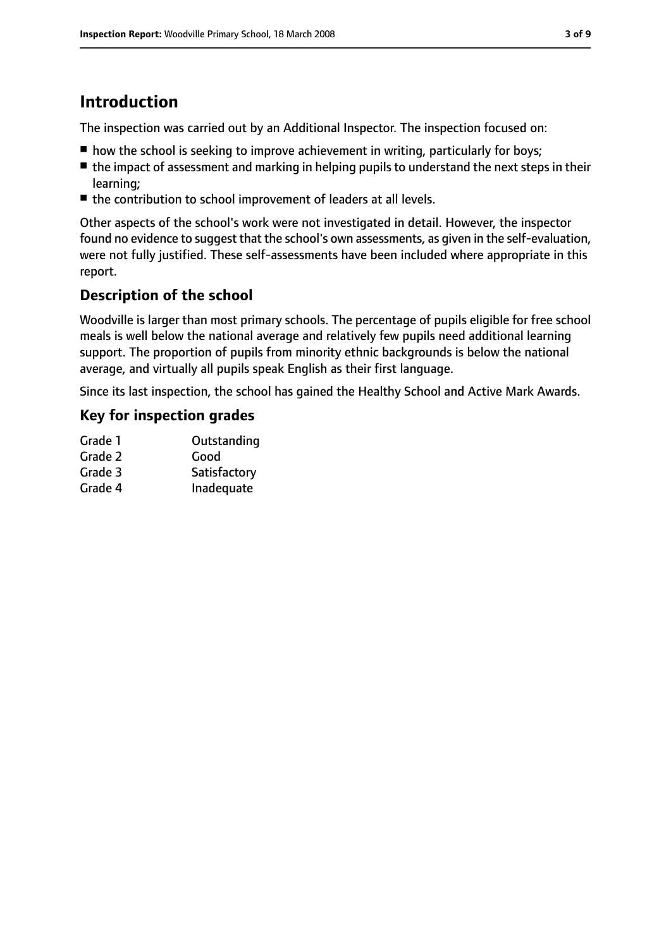# **Introduction**

The inspection was carried out by an Additional Inspector. The inspection focused on:

- how the school is seeking to improve achievement in writing, particularly for boys;
- the impact of assessment and marking in helping pupils to understand the next steps in their learning;
- the contribution to school improvement of leaders at all levels.

Other aspects of the school's work were not investigated in detail. However, the inspector found no evidence to suggest that the school's own assessments, as given in the self-evaluation, were not fully justified. These self-assessments have been included where appropriate in this report.

# **Description of the school**

Woodville is larger than most primary schools. The percentage of pupils eligible for free school meals is well below the national average and relatively few pupils need additional learning support. The proportion of pupils from minority ethnic backgrounds is below the national average, and virtually all pupils speak English as their first language.

Since its last inspection, the school has gained the Healthy School and Active Mark Awards.

## **Key for inspection grades**

| Grade 1 | Outstanding  |
|---------|--------------|
| Grade 2 | Good         |
| Grade 3 | Satisfactory |
| Grade 4 | Inadequate   |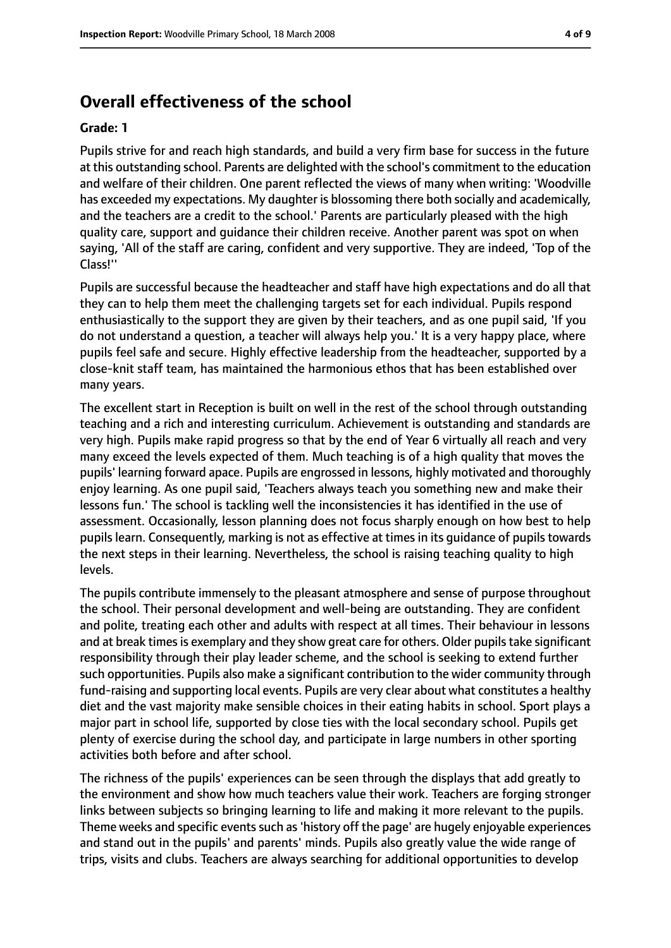# **Overall effectiveness of the school**

#### **Grade: 1**

Pupils strive for and reach high standards, and build a very firm base for success in the future at this outstanding school. Parents are delighted with the school's commitment to the education and welfare of their children. One parent reflected the views of many when writing: 'Woodville has exceeded my expectations. My daughter is blossoming there both socially and academically, and the teachers are a credit to the school.' Parents are particularly pleased with the high quality care, support and guidance their children receive. Another parent was spot on when saying, 'All of the staff are caring, confident and very supportive. They are indeed, 'Top of the Class!''

Pupils are successful because the headteacher and staff have high expectations and do all that they can to help them meet the challenging targets set for each individual. Pupils respond enthusiastically to the support they are given by their teachers, and as one pupil said, 'If you do not understand a question, a teacher will always help you.' It is a very happy place, where pupils feel safe and secure. Highly effective leadership from the headteacher, supported by a close-knit staff team, has maintained the harmonious ethos that has been established over many years.

The excellent start in Reception is built on well in the rest of the school through outstanding teaching and a rich and interesting curriculum. Achievement is outstanding and standards are very high. Pupils make rapid progress so that by the end of Year 6 virtually all reach and very many exceed the levels expected of them. Much teaching is of a high quality that moves the pupils' learning forward apace. Pupils are engrossed in lessons, highly motivated and thoroughly enjoy learning. As one pupil said, 'Teachers always teach you something new and make their lessons fun.' The school is tackling well the inconsistencies it has identified in the use of assessment. Occasionally, lesson planning does not focus sharply enough on how best to help pupils learn. Consequently, marking is not as effective at times in its quidance of pupils towards the next steps in their learning. Nevertheless, the school is raising teaching quality to high levels.

The pupils contribute immensely to the pleasant atmosphere and sense of purpose throughout the school. Their personal development and well-being are outstanding. They are confident and polite, treating each other and adults with respect at all times. Their behaviour in lessons and at break times is exemplary and they show great care for others. Older pupils take significant responsibility through their play leader scheme, and the school is seeking to extend further such opportunities. Pupils also make a significant contribution to the wider community through fund-raising and supporting local events. Pupils are very clear about what constitutes a healthy diet and the vast majority make sensible choices in their eating habits in school. Sport plays a major part in school life, supported by close ties with the local secondary school. Pupils get plenty of exercise during the school day, and participate in large numbers in other sporting activities both before and after school.

The richness of the pupils' experiences can be seen through the displays that add greatly to the environment and show how much teachers value their work. Teachers are forging stronger links between subjects so bringing learning to life and making it more relevant to the pupils. Theme weeks and specific events such as 'history off the page' are hugely enjoyable experiences and stand out in the pupils' and parents' minds. Pupils also greatly value the wide range of trips, visits and clubs. Teachers are always searching for additional opportunities to develop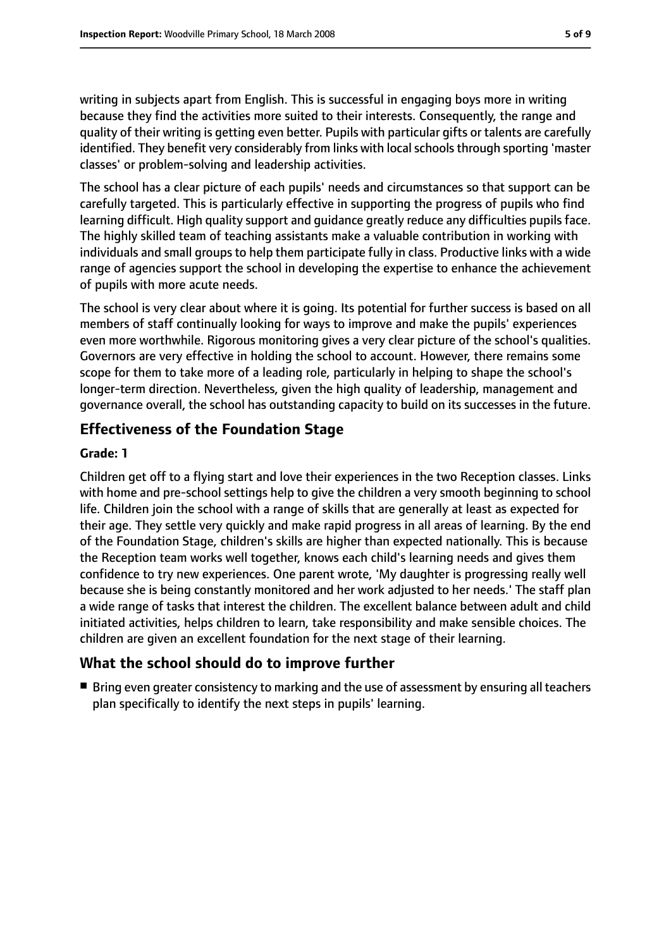writing in subjects apart from English. This is successful in engaging boys more in writing because they find the activities more suited to their interests. Consequently, the range and quality of their writing is getting even better. Pupils with particular gifts or talents are carefully identified. They benefit very considerably from links with local schools through sporting 'master classes' or problem-solving and leadership activities.

The school has a clear picture of each pupils' needs and circumstances so that support can be carefully targeted. This is particularly effective in supporting the progress of pupils who find learning difficult. High quality support and guidance greatly reduce any difficulties pupils face. The highly skilled team of teaching assistants make a valuable contribution in working with individuals and small groups to help them participate fully in class. Productive links with a wide range of agencies support the school in developing the expertise to enhance the achievement of pupils with more acute needs.

The school is very clear about where it is going. Its potential for further success is based on all members of staff continually looking for ways to improve and make the pupils' experiences even more worthwhile. Rigorous monitoring gives a very clear picture of the school's qualities. Governors are very effective in holding the school to account. However, there remains some scope for them to take more of a leading role, particularly in helping to shape the school's longer-term direction. Nevertheless, given the high quality of leadership, management and governance overall, the school has outstanding capacity to build on its successes in the future.

## **Effectiveness of the Foundation Stage**

#### **Grade: 1**

Children get off to a flying start and love their experiences in the two Reception classes. Links with home and pre-school settings help to give the children a very smooth beginning to school life. Children join the school with a range of skills that are generally at least as expected for their age. They settle very quickly and make rapid progress in all areas of learning. By the end of the Foundation Stage, children's skills are higher than expected nationally. This is because the Reception team works well together, knows each child's learning needs and gives them confidence to try new experiences. One parent wrote, 'My daughter is progressing really well because she is being constantly monitored and her work adjusted to her needs.' The staff plan a wide range of tasks that interest the children. The excellent balance between adult and child initiated activities, helps children to learn, take responsibility and make sensible choices. The children are given an excellent foundation for the next stage of their learning.

## **What the school should do to improve further**

■ Bring even greater consistency to marking and the use of assessment by ensuring all teachers plan specifically to identify the next steps in pupils' learning.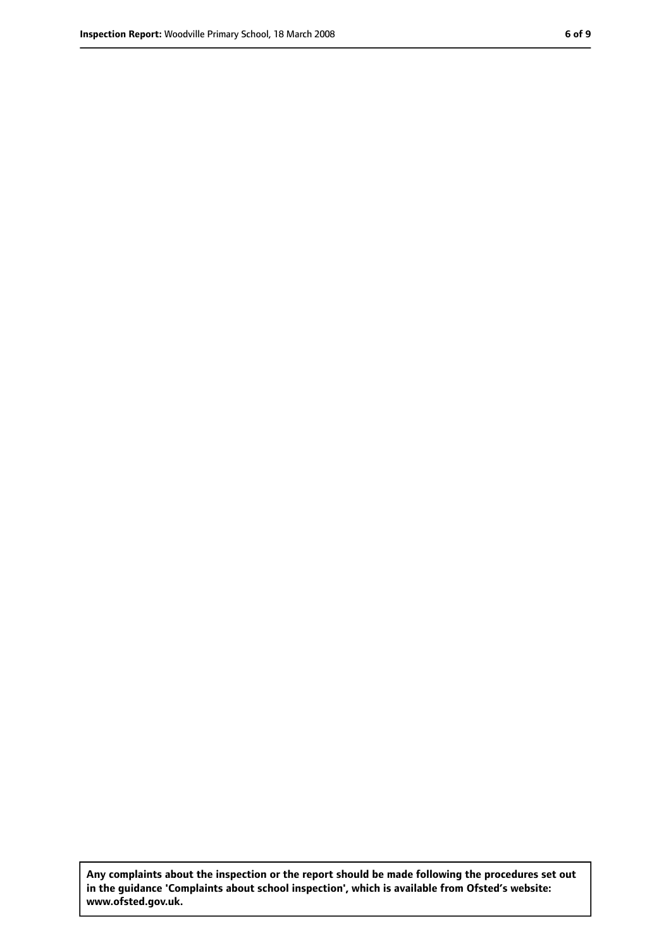**Any complaints about the inspection or the report should be made following the procedures set out in the guidance 'Complaints about school inspection', which is available from Ofsted's website: www.ofsted.gov.uk.**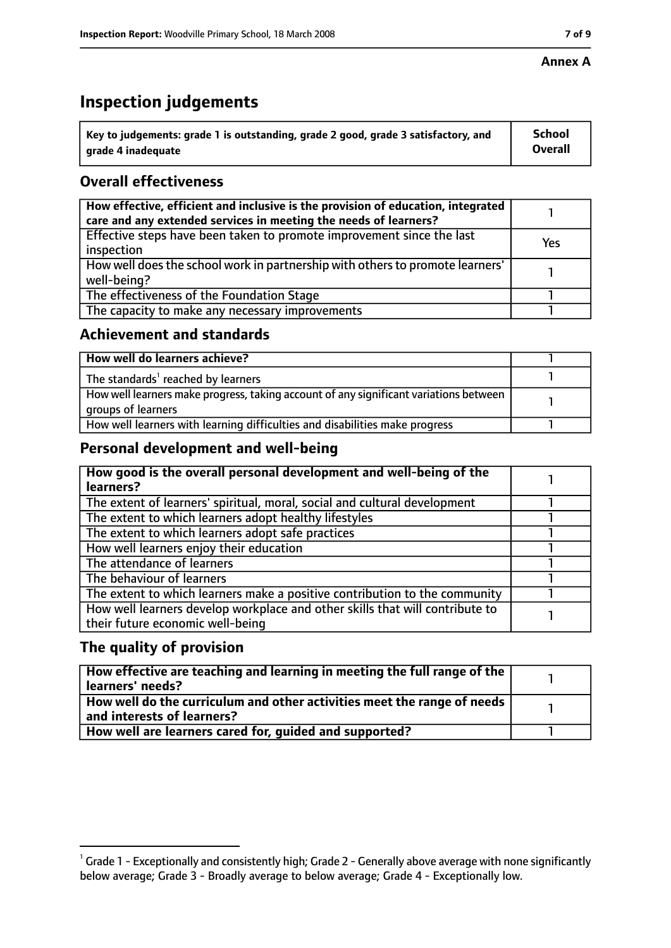#### **Annex A**

# **Inspection judgements**

| $^{\backprime}$ Key to judgements: grade 1 is outstanding, grade 2 good, grade 3 satisfactory, and | <b>School</b>  |
|----------------------------------------------------------------------------------------------------|----------------|
| arade 4 inadequate                                                                                 | <b>Overall</b> |

# **Overall effectiveness**

| How effective, efficient and inclusive is the provision of education, integrated<br>care and any extended services in meeting the needs of learners? |     |
|------------------------------------------------------------------------------------------------------------------------------------------------------|-----|
| Effective steps have been taken to promote improvement since the last<br>inspection                                                                  | Yes |
| How well does the school work in partnership with others to promote learners'<br>well-being?                                                         |     |
| The effectiveness of the Foundation Stage                                                                                                            |     |
| The capacity to make any necessary improvements                                                                                                      |     |

## **Achievement and standards**

| How well do learners achieve?                                                                               |  |
|-------------------------------------------------------------------------------------------------------------|--|
| The standards <sup>1</sup> reached by learners                                                              |  |
| How well learners make progress, taking account of any significant variations between<br>groups of learners |  |
| How well learners with learning difficulties and disabilities make progress                                 |  |

# **Personal development and well-being**

| How good is the overall personal development and well-being of the<br>learners?                                  |  |
|------------------------------------------------------------------------------------------------------------------|--|
| The extent of learners' spiritual, moral, social and cultural development                                        |  |
| The extent to which learners adopt healthy lifestyles                                                            |  |
| The extent to which learners adopt safe practices                                                                |  |
| How well learners enjoy their education                                                                          |  |
| The attendance of learners                                                                                       |  |
| The behaviour of learners                                                                                        |  |
| The extent to which learners make a positive contribution to the community                                       |  |
| How well learners develop workplace and other skills that will contribute to<br>their future economic well-being |  |

# **The quality of provision**

| How effective are teaching and learning in meeting the full range of the<br>learners' needs?          |  |
|-------------------------------------------------------------------------------------------------------|--|
| How well do the curriculum and other activities meet the range of needs<br>and interests of learners? |  |
| How well are learners cared for, quided and supported?                                                |  |

 $^1$  Grade 1 - Exceptionally and consistently high; Grade 2 - Generally above average with none significantly below average; Grade 3 - Broadly average to below average; Grade 4 - Exceptionally low.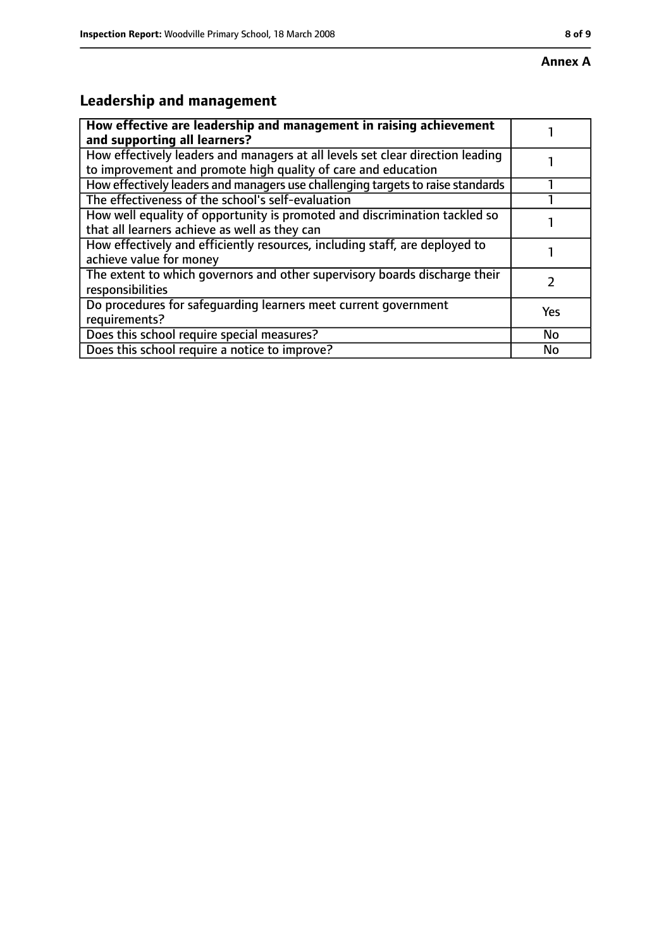# **Leadership and management**

| How effective are leadership and management in raising achievement<br>and supporting all learners?                                              |           |
|-------------------------------------------------------------------------------------------------------------------------------------------------|-----------|
| How effectively leaders and managers at all levels set clear direction leading<br>to improvement and promote high quality of care and education |           |
| How effectively leaders and managers use challenging targets to raise standards                                                                 |           |
| The effectiveness of the school's self-evaluation                                                                                               |           |
| How well equality of opportunity is promoted and discrimination tackled so<br>that all learners achieve as well as they can                     |           |
| How effectively and efficiently resources, including staff, are deployed to<br>achieve value for money                                          |           |
| The extent to which governors and other supervisory boards discharge their<br>responsibilities                                                  |           |
| Do procedures for safequarding learners meet current government<br>requirements?                                                                | Yes       |
| Does this school require special measures?                                                                                                      | <b>No</b> |
| Does this school require a notice to improve?                                                                                                   | No        |